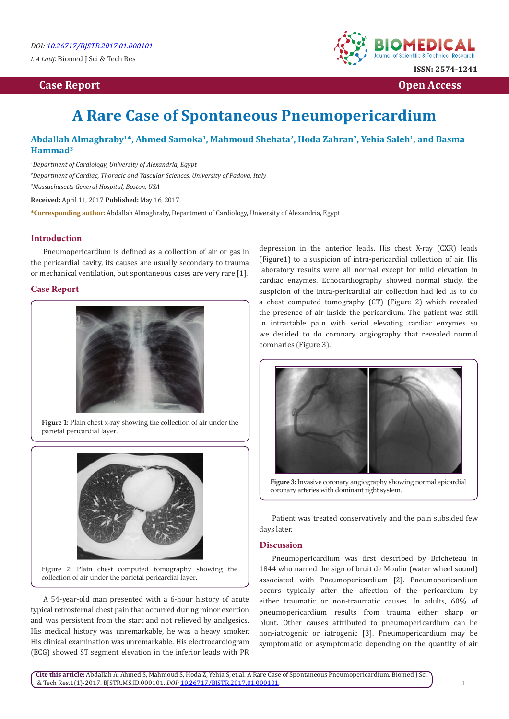*L A Latif.* Biomed J Sci & Tech Res

# *Case Report* **Open Access 2014 <b>Case Report** Open Access 2014 **Open Access**



# **A Rare Case of Spontaneous Pneumopericardium**

## **Abdallah Almaghraby1\*, Ahmed Samoka1, Mahmoud Shehata2, Hoda Zahran2, Yehia Saleh1, and Basma Hammad3**

*1 Department of Cardiology, University of Alexandria, Egypt 2 Department of Cardiac, Thoracic and Vascular Sciences, University of Padova, Italy 3 Massachusetts General Hospital, Boston, USA*

**Received:** April 11, 2017 **Published:** May 16, 2017

**\*Corresponding author:** Abdallah Almaghraby, Department of Cardiology, University of Alexandria, Egypt

### **Introduction**

Pneumopericardium is defined as a collection of air or gas in the pericardial cavity, its causes are usually secondary to trauma or mechanical ventilation, but spontaneous cases are very rare [1].

#### **Case Report**



**Figure 1:** Plain chest x-ray showing the collection of air under the parietal pericardial layer.



Figure 2: Plain chest computed tomography showing the collection of air under the parietal pericardial layer.

A 54-year-old man presented with a 6-hour history of acute typical retrosternal chest pain that occurred during minor exertion and was persistent from the start and not relieved by analgesics. His medical history was unremarkable, he was a heavy smoker. His clinical examination was unremarkable. His electrocardiogram (ECG) showed ST segment elevation in the inferior leads with PR

depression in the anterior leads. His chest X-ray (CXR) leads (Figure1) to a suspicion of intra-pericardial collection of air. His laboratory results were all normal except for mild elevation in cardiac enzymes. Echocardiography showed normal study, the suspicion of the intra-pericardial air collection had led us to do a chest computed tomography (CT) (Figure 2) which revealed the presence of air inside the pericardium. The patient was still in intractable pain with serial elevating cardiac enzymes so we decided to do coronary angiography that revealed normal coronaries (Figure 3).





Patient was treated conservatively and the pain subsided few days later.

#### **Discussion**

Pneumopericardium was first described by Bricheteau in 1844 who named the sign of bruit de Moulin (water wheel sound) associated with Pneumopericardium [2]. Pneumopericardium occurs typically after the affection of the pericardium by either traumatic or non-traumatic causes. In adults, 60% of pneumopericardium results from trauma either sharp or blunt. Other causes attributed to pneumopericardium can be non-iatrogenic or iatrogenic [3]. Pneumopericardium may be symptomatic or asymptomatic depending on the quantity of air